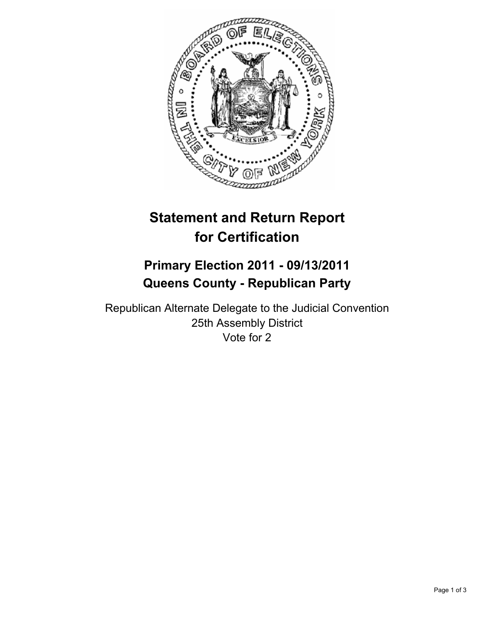

# **Statement and Return Report for Certification**

## **Primary Election 2011 - 09/13/2011 Queens County - Republican Party**

Republican Alternate Delegate to the Judicial Convention 25th Assembly District Vote for 2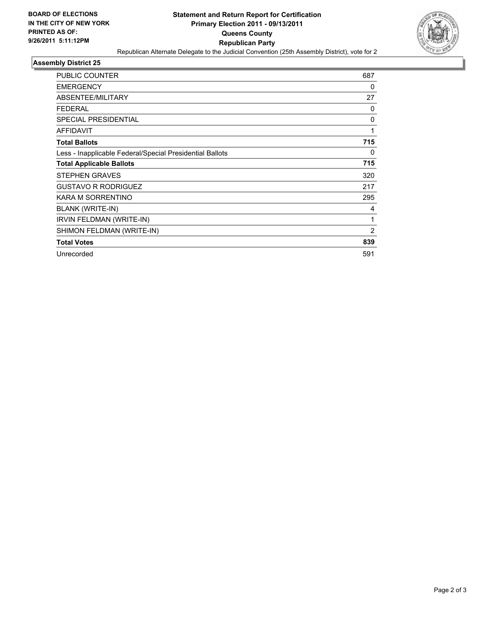

### **Assembly District 25**

| <b>PUBLIC COUNTER</b>                                    | 687            |
|----------------------------------------------------------|----------------|
| <b>EMERGENCY</b>                                         | 0              |
| ABSENTEE/MILITARY                                        | 27             |
| <b>FEDERAL</b>                                           | 0              |
| <b>SPECIAL PRESIDENTIAL</b>                              | 0              |
| <b>AFFIDAVIT</b>                                         | 1              |
| <b>Total Ballots</b>                                     | 715            |
| Less - Inapplicable Federal/Special Presidential Ballots | 0              |
| <b>Total Applicable Ballots</b>                          | 715            |
| <b>STEPHEN GRAVES</b>                                    | 320            |
| <b>GUSTAVO R RODRIGUEZ</b>                               | 217            |
| KARA M SORRENTINO                                        | 295            |
| BLANK (WRITE-IN)                                         | 4              |
| IRVIN FELDMAN (WRITE-IN)                                 | 1              |
| SHIMON FELDMAN (WRITE-IN)                                | $\overline{2}$ |
| <b>Total Votes</b>                                       | 839            |
| Unrecorded                                               | 591            |